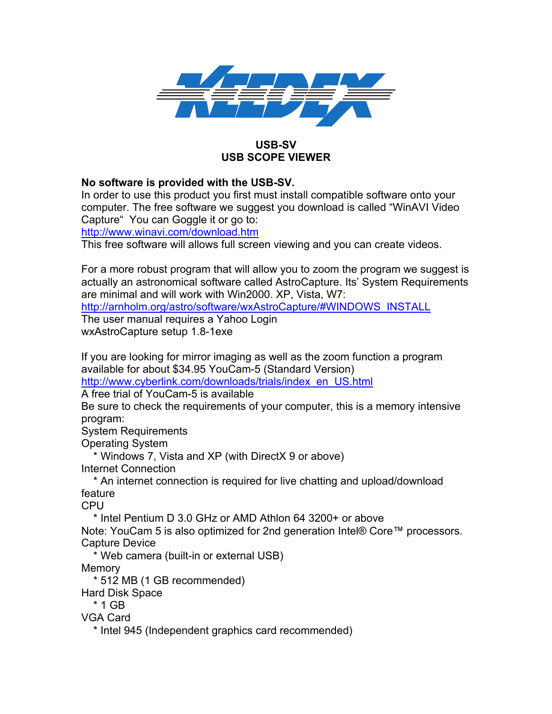

## **USB-SV USB SCOPE VIEWER**

## **No software is provided with the USB-SV.**

In order to use this product you first must install compatible software onto your computer. The free software we suggest you download is called "WinAVI Video Capture" You can Goggle it or go to:

http://www.winavi.com/download.htm

This free software will allows full screen viewing and you can create videos.

For a more robust program that will allow you to zoom the program we suggest is actually an astronomical software called AstroCapture. Its' System Requirements are minimal and will work with Win2000. XP, Vista, W7:

http://arnholm.org/astro/software/wxAstroCapture/#WINDOWS\_INSTALL

The user manual requires a Yahoo Login wxAstroCapture setup 1.8-1exe

If you are looking for mirror imaging as well as the zoom function a program available for about \$34.95 YouCam-5 (Standard Version)

http://www.cyberlink.com/downloads/trials/index\_en\_US.html

A free trial of YouCam-5 is available

Be sure to check the requirements of your computer, this is a memory intensive program:

System Requirements

Operating System

\* Windows 7, Vista and XP (with DirectX 9 or above)

Internet Connection

 \* An internet connection is required for live chatting and upload/download feature

CPU

\* Intel Pentium D 3.0 GHz or AMD Athlon 64 3200+ or above

Note: YouCam 5 is also optimized for 2nd generation Intel® Core™ processors. Capture Device

\* Web camera (built-in or external USB)

**Memory** 

\* 512 MB (1 GB recommended)

Hard Disk Space

\* 1 GB

VGA Card

\* Intel 945 (Independent graphics card recommended)